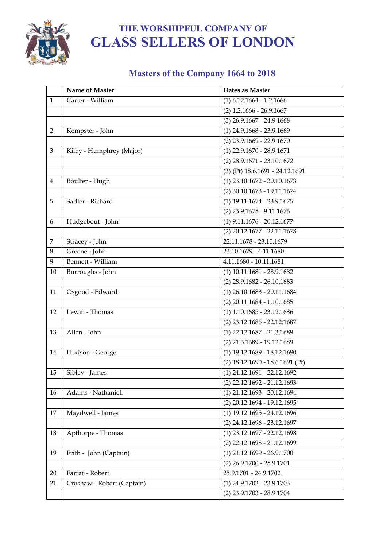

#### **Masters of the Company 1664 to 2018**

|                | Name of Master             | Dates as Master                          |
|----------------|----------------------------|------------------------------------------|
| $\mathbf{1}$   | Carter - William           | $(1)$ 6.12.1664 - 1.2.1666               |
|                |                            | $(2)$ 1.2.1666 - 26.9.1667               |
|                |                            | $(3)$ 26.9.1667 - 24.9.1668              |
| $\overline{2}$ | Kempster - John            | $(1)$ 24.9.1668 - 23.9.1669              |
|                |                            | $(2)$ 23.9.1669 - 22.9.1670              |
| 3              | Kilby - Humphrey (Major)   | $(1)$ 22.9.1670 - 28.9.1671              |
|                |                            | $(2)$ 28.9.1671 - 23.10.1672             |
|                |                            | (3) (Pt) 18.6.1691 - 24.12.1691          |
| $\overline{4}$ | Boulter - Hugh             | $\overline{(1) 23.10.1672 - 30.10.1673}$ |
|                |                            | (2) 30.10.1673 - 19.11.1674              |
| 5              | Sadler - Richard           | $(1)$ 19.11.1674 - 23.9.1675             |
|                |                            | $(2)$ 23.9.1675 - 9.11.1676              |
| 6              | Hudgebout - John           | $(1)$ 9.11.1676 - 20.12.1677             |
|                |                            | (2) 20.12.1677 - 22.11.1678              |
| $\overline{7}$ | Stracey - John             | 22.11.1678 - 23.10.1679                  |
| $\,8\,$        | Greene - John              | 23.10.1679 - 4.11.1680                   |
| 9              | Bennett - William          | 4.11.1680 - 10.11.1681                   |
| 10             | Burroughs - John           | $(1)$ 10.11.1681 - 28.9.1682             |
|                |                            | $(2)$ 28.9.1682 - 26.10.1683             |
| 11             | Osgood - Edward            | $(1)$ 26.10.1683 - 20.11.1684            |
|                |                            | $(2)$ 20.11.1684 - 1.10.1685             |
| 12             | Lewin - Thomas             | $(1)$ 1.10.1685 - 23.12.1686             |
|                |                            | (2) 23.12.1686 - 22.12.1687              |
| 13             | Allen - John               | $(1)$ 22.12.1687 - 21.3.1689             |
|                |                            | $(2)$ 21.3.1689 - 19.12.1689             |
| 14             | Hudson - George            | $(1)$ 19.12.1689 - 18.12.1690            |
|                |                            | (2) 18.12.1690 - 18.6.1691 (Pt)          |
| 15             | Sibley - James             | $(1)$ 24.12.1691 - 22.12.1692            |
|                |                            | (2) 22.12.1692 - 21.12.1693              |
| 16             | Adams - Nathaniel.         | $(1)$ 21.12.1693 - 20.12.1694            |
|                |                            | $(2)$ 20.12.1694 - 19.12.1695            |
| 17             | Maydwell - James           | $(1)$ 19.12.1695 - 24.12.1696            |
|                |                            | (2) 24.12.1696 - 23.12.1697              |
| 18             | Apthorpe - Thomas          | $(1)$ 23.12.1697 - 22.12.1698            |
|                |                            | (2) 22.12.1698 - 21.12.1699              |
| 19             | Frith - John (Captain)     | $(1)$ 21.12.1699 - 26.9.1700             |
|                |                            | $(2)$ 26.9.1700 - 25.9.1701              |
| 20             | Farrar - Robert            | 25.9.1701 - 24.9.1702                    |
| 21             | Croshaw - Robert (Captain) | $(1)$ 24.9.1702 - 23.9.1703              |
|                |                            | (2) 23.9.1703 - 28.9.1704                |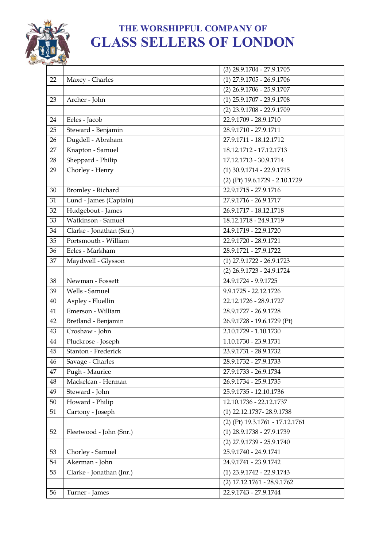

|        |                          | $(3)$ 28.9.1704 - 27.9.1705             |
|--------|--------------------------|-----------------------------------------|
| 22     | Maxey - Charles          | $(1)$ 27.9.1705 - 26.9.1706             |
|        |                          | $(2)$ 26.9.1706 - 25.9.1707             |
| 23     | Archer - John            | $(1)$ 25.9.1707 - 23.9.1708             |
|        |                          | (2) 23.9.1708 - 22.9.1709               |
| 24     | Eeles - Jacob            | 22.9.1709 - 28.9.1710                   |
| 25     | Steward - Benjamin       | 28.9.1710 - 27.9.1711                   |
| 26     | Dugdell - Abraham        | 27.9.1711 - 18.12.1712                  |
| 27     | Knapton - Samuel         | 18.12.1712 - 17.12.1713                 |
| 28     | Sheppard - Philip        | 17.12.1713 - 30.9.1714                  |
| 29     | Chorley - Henry          | $(1)$ 30.9.1714 - 22.9.1715             |
|        |                          | (2) (Pt) 19.6.1729 - 2.10.1729          |
| 30     | Bromley - Richard        | 22.9.1715 - 27.9.1716                   |
| 31     | Lund - James (Captain)   | 27.9.1716 - 26.9.1717                   |
| 32     | Hudgebout - James        | 26.9.1717 - 18.12.1718                  |
| 33     | Watkinson - Samuel       | 18.12.1718 - 24.9.1719                  |
| 34     | Clarke - Jonathan (Snr.) | 24.9.1719 - 22.9.1720                   |
| 35     | Portsmouth - William     | 22.9.1720 - 28.9.1721                   |
| 36     | Eeles - Markham          | 28.9.1721 - 27.9.1722                   |
| 37     | Maydwell - Glysson       | $(1)$ 27.9.1722 - 26.9.1723             |
|        |                          | (2) 26.9.1723 - 24.9.1724               |
| 38     | Newman - Fossett         | 24.9.1724 - 9.9.1725                    |
| 39     | Wells - Samuel           | 9.9.1725 - 22.12.1726                   |
| 40     | Aspley - Fluellin        | 22.12.1726 - 28.9.1727                  |
| 41     | Emerson - William        | 28.9.1727 - 26.9.1728                   |
| 42     | Bretland - Benjamin      | 26.9.1728 - 19.6.1729 (Pt)              |
| 43     | Croshaw - John           | 2.10.1729 - 1.10.1730                   |
| 44     | Pluckrose - Joseph       | 1.10.1730 - 23.9.1731                   |
| 45     | Stanton - Frederick      | 23.9.1731 - 28.9.1732                   |
| 46     | Savage - Charles         | 28.9.1732 - 27.9.1733                   |
| 47     | Pugh - Maurice           | 27.9.1733 - 26.9.1734                   |
| 48     | Mackelcan - Herman       | 26.9.1734 - 25.9.1735                   |
| 49     | Steward - John           | 25.9.1735 - 12.10.1736                  |
| $50\,$ | Howard - Philip          | 12.10.1736 - 22.12.1737                 |
| 51     | Cartony - Joseph         | (1) 22.12.1737-28.9.1738                |
|        |                          | (2) (Pt) 19.3.1761 - 17.12.1761         |
| 52     | Fleetwood - John (Snr.)  | $(1)$ 28.9.1738 - 27.9.1739             |
|        |                          | (2) 27.9.1739 - 25.9.1740               |
| 53     | Chorley - Samuel         | 25.9.1740 - 24.9.1741                   |
| 54     | Akerman - John           | 24.9.1741 - 23.9.1742                   |
| 55     | Clarke - Jonathan (Jnr.) | $(1)$ 23.9.1742 - 22.9.1743             |
|        |                          | $\overline{(2)}$ 17.12.1761 - 28.9.1762 |
| 56     | Turner - James           | 22.9.1743 - 27.9.1744                   |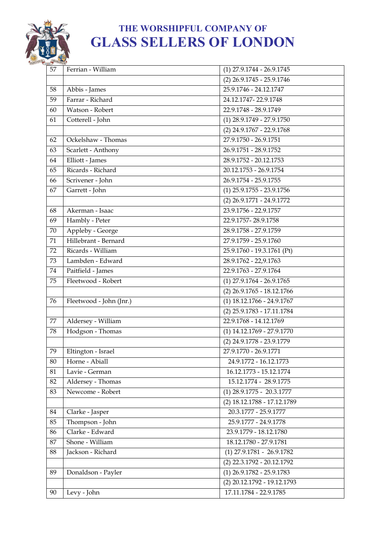

| 57 | Ferrian - William       | $(1)$ 27.9.1744 - 26.9.1745  |
|----|-------------------------|------------------------------|
|    |                         | $(2)$ 26.9.1745 - 25.9.1746  |
| 58 | Abbis - James           | 25.9.1746 - 24.12.1747       |
| 59 | Farrar - Richard        | 24.12.1747-22.9.1748         |
| 60 | Watson - Robert         | 22.9.1748 - 28.9.1749        |
| 61 | Cotterell - John        | $(1)$ 28.9.1749 - 27.9.1750  |
|    |                         | $(2)$ 24.9.1767 - 22.9.1768  |
| 62 | Ockelshaw - Thomas      | 27.9.1750 - 26.9.1751        |
| 63 | Scarlett - Anthony      | 26.9.1751 - 28.9.1752        |
| 64 | Elliott - James         | 28.9.1752 - 20.12.1753       |
| 65 | Ricards - Richard       | 20.12.1753 - 26.9.1754       |
| 66 | Scrivener - John        | 26.9.1754 - 25.9.1755        |
| 67 | Garrett - John          | $(1)$ 25.9.1755 - 23.9.1756  |
|    |                         | $(2)$ 26.9.1771 - 24.9.1772  |
| 68 | Akerman - Isaac         | 23.9.1756 - 22.9.1757        |
| 69 | Hambly - Peter          | 22.9.1757-28.9.1758          |
| 70 | Appleby - George        | 28.9.1758 - 27.9.1759        |
| 71 | Hillebrant - Bernard    | 27.9.1759 - 25.9.1760        |
| 72 | Ricards - William       | 25.9.1760 - 19.3.1761 (Pt)   |
| 73 | Lambden - Edward        | 28.9.1762 - 22,9.1763        |
| 74 | Paitfield - James       | 22.9.1763 - 27.9.1764        |
| 75 | Fleetwood - Robert      | $(1)$ 27.9.1764 - 26.9.1765  |
|    |                         | $(2)$ 26.9.1765 - 18.12.1766 |
| 76 | Fleetwood - John (Jnr.) | $(1)$ 18.12.1766 - 24.9.1767 |
|    |                         | (2) 25.9.1783 - 17.11.1784   |
| 77 | Aldersey - William      | 22.9.1768 - 14.12.1769       |
| 78 | Hodgson - Thomas        | $(1)$ 14.12.1769 - 27.9.1770 |
|    |                         | (2) 24.9.1778 - 23.9.1779    |
| 79 | Eltington - Israel      | 27.9.1770 - 26.9.1771        |
| 80 | Horne - Abiall          | 24.9.1772 - 16.12.1773       |
| 81 | Lavie - German          | 16.12.1773 - 15.12.1774      |
| 82 | Aldersey - Thomas       | 15.12.1774 - 28.9.1775       |
| 83 | Newcome - Robert        | $(1)$ 28.9.1775 - 20.3.1777  |
|    |                         | (2) 18.12.1788 - 17.12.1789  |
| 84 | Clarke - Jasper         | 20.3.1777 - 25.9.1777        |
| 85 | Thompson - John         | 25.9.1777 - 24.9.1778        |
| 86 | Clarke - Edward         | 23.9.1779 - 18.12.1780       |
| 87 | Shone - William         | 18.12.1780 - 27.9.1781       |
| 88 | Jackson - Richard       | $(1)$ 27.9.1781 - 26.9.1782  |
|    |                         | $(2)$ 22.3.1792 - 20.12.1792 |
| 89 | Donaldson - Payler      | $(1)$ 26.9.1782 - 25.9.1783  |
|    |                         | (2) 20.12.1792 - 19.12.1793  |
| 90 | Levy - John             | 17.11.1784 - 22.9.1785       |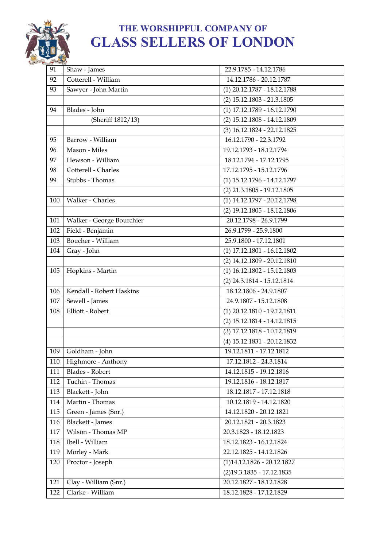

| 91  | Shaw - James                      | 22.9.1785 - 14.12.1786        |
|-----|-----------------------------------|-------------------------------|
| 92  | Cotterell - William               | 14.12.1786 - 20.12.1787       |
| 93  | Sawyer - John Martin              | $(1)$ 20.12.1787 - 18.12.1788 |
|     |                                   | $(2)$ 15.12.1803 - 21.3.1805  |
| 94  | Blades - John                     | $(1)$ 17.12.1789 - 16.12.1790 |
|     | (Sheriff 1812/13)                 | (2) 15.12.1808 - 14.12.1809   |
|     |                                   | (3) 16.12.1824 - 22.12.1825   |
| 95  | Barrow - William                  | 16.12.1790 - 22.3.1792        |
| 96  | $\overline{\text{Mason - Miles}}$ | 19.12.1793 - 18.12.1794       |
| 97  | Hewson - William                  | 18.12.1794 - 17.12.1795       |
| 98  | Cotterell - Charles               | 17.12.1795 - 15.12.1796       |
| 99  | Stubbs - Thomas                   | (1) 15.12.1796 - 14.12.1797   |
|     |                                   | $(2)$ 21.3.1805 - 19.12.1805  |
| 100 | Walker - Charles                  | (1) 14.12.1797 - 20.12.1798   |
|     |                                   | $(2)$ 19.12.1805 - 18.12.1806 |
| 101 | Walker - George Bourchier         | 20.12.1798 - 26.9.1799        |
| 102 | Field - Benjamin                  | 26.9.1799 - 25.9.1800         |
| 103 | Boucher - William                 | 25.9.1800 - 17.12.1801        |
| 104 | Gray - John                       | $(1)$ 17.12.1801 - 16.12.1802 |
|     |                                   | (2) 14.12.1809 - 20.12.1810   |
| 105 | Hopkins - Martin                  | $(1)$ 16.12.1802 - 15.12.1803 |
|     |                                   | (2) 24.3.1814 - 15.12.1814    |
| 106 | Kendall - Robert Haskins          | 18.12.1806 - 24.9.1807        |
| 107 | Sewell - James                    | 24.9.1807 - 15.12.1808        |
| 108 | Elliott - Robert                  | (1) 20.12.1810 - 19.12.1811   |
|     |                                   | (2) 15.12.1814 - 14.12.1815   |
|     |                                   | (3) 17.12.1818 - 10.12.1819   |
|     |                                   | (4) 15.12.1831 - 20.12.1832   |
| 109 | Goldham - John                    | 19.12.1811 - 17.12.1812       |
| 110 | Highmore - Anthony                | 17.12.1812 - 24.3.1814        |
| 111 | Blades - Robert                   | 14.12.1815 - 19.12.1816       |
| 112 | Tuchin - Thomas                   | 19.12.1816 - 18.12.1817       |
| 113 | Blackett - John                   | 18.12.1817 - 17.12.1818       |
| 114 | Martin - Thomas                   | 10.12.1819 - 14.12.1820       |
| 115 | Green - James (Snr.)              | 14.12.1820 - 20.12.1821       |
| 116 | Blackett - James                  | 20.12.1821 - 20.3.1823        |
| 117 | Wilson - Thomas MP                | 20.3.1823 - 18.12.1823        |
| 118 | Ibell - William                   | 18.12.1823 - 16.12.1824       |
| 119 | Morley - Mark                     | 22.12.1825 - 14.12.1826       |
| 120 | Proctor - Joseph                  | $(1)$ 14.12.1826 - 20.12.1827 |
|     |                                   | $(2)19.3.1835 - 17.12.1835$   |
| 121 | Clay - William (Snr.)             | 20.12.1827 - 18.12.1828       |
| 122 | Clarke - William                  | 18.12.1828 - 17.12.1829       |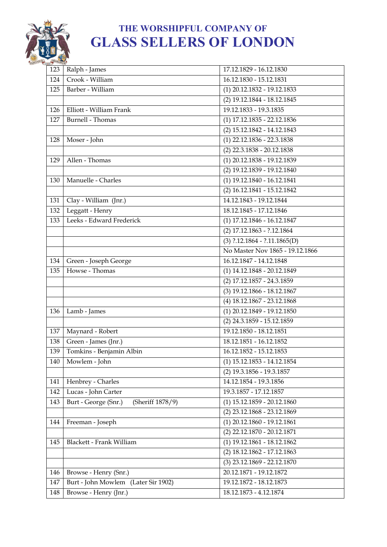

| 123 | Ralph - James                            | 17.12.1829 - 16.12.1830         |
|-----|------------------------------------------|---------------------------------|
| 124 | Crook - William                          | 16.12.1830 - 15.12.1831         |
| 125 | Barber - William                         | (1) 20.12.1832 - 19.12.1833     |
|     |                                          | (2) 19.12.1844 - 18.12.1845     |
| 126 | Elliott - William Frank                  | 19.12.1833 - 19.3.1835          |
| 127 | <b>Burnell</b> - Thomas                  | $(1)$ 17.12.1835 - 22.12.1836   |
|     |                                          | (2) 15.12.1842 - 14.12.1843     |
| 128 | Moser - John                             | $(1)$ 22.12.1836 - 22.3.1838    |
|     |                                          | $(2)$ 22.3.1838 - 20.12.1838    |
| 129 | Allen - Thomas                           | (1) 20.12.1838 - 19.12.1839     |
|     |                                          | (2) 19.12.1839 - 19.12.1840     |
| 130 | Manuelle - Charles                       | (1) 19.12.1840 - 16.12.1841     |
|     |                                          | (2) 16.12.1841 - 15.12.1842     |
| 131 | Clay - William $(\overline{Jnr.})$       | 14.12.1843 - 19.12.1844         |
| 132 | Leggatt - Henry                          | 18.12.1845 - 17.12.1846         |
| 133 | Leeks - Edward Frederick                 | $(1)$ 17.12.1846 - 16.12.1847   |
|     |                                          | (2) 17.12.1863 - ?.12.1864      |
|     |                                          | $(3)$ ?.12.1864 - ?.11.1865(D)  |
|     |                                          | No Master Nov 1865 - 19.12.1866 |
| 134 | Green - Joseph George                    | 16.12.1847 - 14.12.1848         |
| 135 | Howse - Thomas                           | (1) 14.12.1848 - 20.12.1849     |
|     |                                          | (2) 17.12.1857 - 24.3.1859      |
|     |                                          | (3) 19.12.1866 - 18.12.1867     |
|     |                                          | (4) 18.12.1867 - 23.12.1868     |
| 136 | Lamb - James                             | $(1)$ 20.12.1849 - 19.12.1850   |
|     |                                          | (2) 24.3.1859 - 15.12.1859      |
| 137 | Maynard - Robert                         | 19.12.1850 - 18.12.1851         |
| 138 | Green - James (Jnr.)                     | 18.12.1851 - 16.12.1852         |
| 139 | Tomkins - Benjamin Albin                 | 16.12.1852 - 15.12.1853         |
| 140 | Mowlem - John                            | $(1)$ 15.12.1853 - 14.12.1854   |
|     |                                          | (2) 19.3.1856 - 19.3.1857       |
| 141 | Henbrey - Charles                        | 14.12.1854 - 19.3.1856          |
| 142 | Lucas - John Carter                      | 19.3.1857 - 17.12.1857          |
| 143 | Burt - George (Snr.)<br>(Sheriff 1878/9) | $(1)$ 15.12.1859 - 20.12.1860   |
|     |                                          | $(2)$ 23.12.1868 - 23.12.1869   |
| 144 | Freeman - Joseph                         | $(1)$ 20.12.1860 - 19.12.1861   |
|     |                                          | (2) 22.12.1870 - 20.12.1871     |
| 145 | Blackett - Frank William                 | (1) 19.12.1861 - 18.12.1862     |
|     |                                          | (2) 18.12.1862 - 17.12.1863     |
|     |                                          | (3) 23.12.1869 - 22.12.1870     |
| 146 | Browse - Henry (Snr.)                    | 20.12.1871 - 19.12.1872         |
| 147 | Burt - John Mowlem (Later Sir 1902)      | 19.12.1872 - 18.12.1873         |
| 148 | Browse - Henry (Jnr.)                    | 18.12.1873 - 4.12.1874          |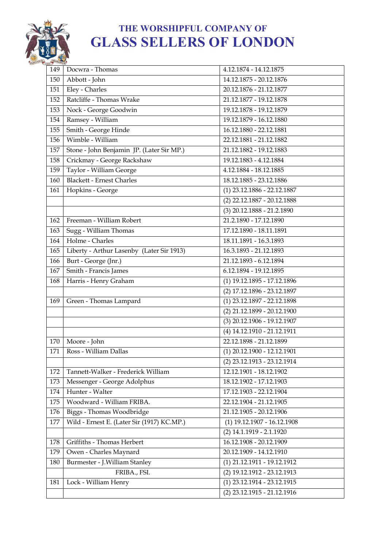

| 149 | Docwra - Thomas                            | 4.12.1874 - 14.12.1875        |
|-----|--------------------------------------------|-------------------------------|
| 150 | Abbott - John                              | 14.12.1875 - 20.12.1876       |
| 151 | Eley - Charles                             | 20.12.1876 - 21.12.1877       |
| 152 | Ratcliffe - Thomas Wrake                   | 21.12.1877 - 19.12.1878       |
| 153 | Nock - George Goodwin                      | 19.12.1878 - 19.12.1879       |
| 154 | Ramsey - William                           | 19.12.1879 - 16.12.1880       |
| 155 | Smith - George Hinde                       | 16.12.1880 - 22.12.1881       |
| 156 | Wimble - William                           | 22.12.1881 - 21.12.1882       |
| 157 | Stone - John Benjamin JP. (Later Sir MP.)  | 21.12.1882 - 19.12.1883       |
| 158 | Crickmay - George Rackshaw                 | 19.12.1883 - 4.12.1884        |
| 159 | Taylor - William George                    | 4.12.1884 - 18.12.1885        |
| 160 | <b>Blackett - Ernest Charles</b>           | 18.12.1885 - 23.12.1886       |
| 161 | Hopkins - George                           | $(1)$ 23.12.1886 - 22.12.1887 |
|     |                                            | (2) 22.12.1887 - 20.12.1888   |
|     |                                            | $(3)$ 20.12.1888 - 21.2.1890  |
| 162 | Freeman - William Robert                   | 21.2.1890 - 17.12.1890        |
| 163 | Sugg - William Thomas                      | 17.12.1890 - 18.11.1891       |
| 164 | Holme - Charles                            | 18.11.1891 - 16.3.1893        |
| 165 | Liberty - Arthur Lasenby (Later Sir 1913)  | 16.3.1893 - 21.12.1893        |
| 166 | Burt - George (Jnr.)                       | 21.12.1893 - 6.12.1894        |
| 167 | Smith - Francis James                      | 6.12.1894 - 19.12.1895        |
| 168 | Harris - Henry Graham                      | (1) 19.12.1895 - 17.12.1896   |
|     |                                            | (2) 17.12.1896 - 23.12.1897   |
| 169 | Green - Thomas Lampard                     | (1) 23.12.1897 - 22.12.1898   |
|     |                                            | (2) 21.12.1899 - 20.12.1900   |
|     |                                            | (3) 20.12.1906 - 19.12.1907   |
|     |                                            | (4) 14.12.1910 - 21.12.1911   |
| 170 | Moore - John                               | 22.12.1898 - 21.12.1899       |
| 171 | Ross - William Dallas                      | $(1)$ 20.12.1900 - 12.12.1901 |
|     |                                            | (2) 23.12.1913 - 23.12.1914   |
| 172 | Tannett-Walker - Frederick William         | 12.12.1901 - 18.12.1902       |
| 173 | Messenger - George Adolphus                | 18.12.1902 - 17.12.1903       |
| 174 | Hunter - Walter                            | 17.12.1903 - 22.12.1904       |
| 175 | Woodward - William FRIBA.                  | 22.12.1904 - 21.12.1905       |
| 176 | Biggs - Thomas Woodbridge                  | 21.12.1905 - 20.12.1906       |
| 177 | Wild - Ernest E. (Later Sir (1917) KC.MP.) | $(1)$ 19.12.1907 - 16.12.1908 |
|     |                                            | (2) 14.1.1919 - 2.1.1920      |
| 178 | Griffiths - Thomas Herbert                 | 16.12.1908 - 20.12.1909       |
| 179 | Owen - Charles Maynard                     | 20.12.1909 - 14.12.1910       |
| 180 | Burmester - J. William Stanley             | (1) 21.12.1911 - 19.12.1912   |
|     | FRIBA., FSI.                               | (2) 19.12.1912 - 23.12.1913   |
| 181 | Lock - William Henry                       | (1) 23.12.1914 - 23.12.1915   |
|     |                                            | (2) 23.12.1915 - 21.12.1916   |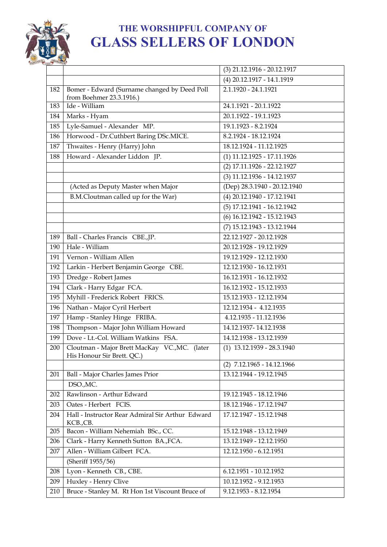

|     |                                                                             | (3) 21.12.1916 - 20.12.1917   |
|-----|-----------------------------------------------------------------------------|-------------------------------|
|     |                                                                             | (4) 20.12.1917 - 14.1.1919    |
| 182 | Bomer - Edward (Surname changed by Deed Poll<br>from Boehmer 23.3.1916.)    | 2.1.1920 - 24.1.1921          |
| 183 | Ide - William                                                               | 24.1.1921 - 20.1.1922         |
| 184 | Marks - Hyam                                                                | 20.1.1922 - 19.1.1923         |
| 185 | Lyle-Samuel - Alexander MP.                                                 | 19.1.1923 - 8.2.1924          |
| 186 | Horwood - Dr.Cuthbert Baring DSc.MICE.                                      | 8.2.1924 - 18.12.1924         |
| 187 | Thwaites - Henry (Harry) John                                               | 18.12.1924 - 11.12.1925       |
| 188 | Howard - Alexander Liddon JP.                                               | $(1)$ 11.12.1925 - 17.11.1926 |
|     |                                                                             | (2) 17.11.1926 - 22.12.1927   |
|     |                                                                             | (3) 11.12.1936 - 14.12.1937   |
|     | (Acted as Deputy Master when Major                                          | (Dep) 28.3.1940 - 20.12.1940  |
|     | B.M.Cloutman called up for the War)                                         | (4) 20.12.1940 - 17.12.1941   |
|     |                                                                             | (5) 17.12.1941 - 16.12.1942   |
|     |                                                                             | (6) 16.12.1942 - 15.12.1943   |
|     |                                                                             | (7) 15.12.1943 - 13.12.1944   |
| 189 | Ball - Charles Francis CBE., JP.                                            | 22.12.1927 - 20.12.1928       |
| 190 | Hale - William                                                              | 20.12.1928 - 19.12.1929       |
| 191 | Vernon - William Allen                                                      | 19.12.1929 - 12.12.1930       |
| 192 | Larkin - Herbert Benjamin George CBE.                                       | 12.12.1930 - 16.12.1931       |
| 193 | Dredge - Robert James                                                       | 16.12.1931 - 16.12.1932       |
| 194 | Clark - Harry Edgar FCA.                                                    | 16.12.1932 - 15.12.1933       |
| 195 | Myhill - Frederick Robert FRICS.                                            | 15.12.1933 - 12.12.1934       |
| 196 | Nathan - Major Cyril Herbert                                                | 12.12.1934 - 4.12.1935        |
| 197 | Hamp - Stanley Hinge FRIBA.                                                 | 4.12.1935 - 11.12.1936        |
| 198 | Thompson - Major John William Howard                                        | 14.12.1937-14.12.1938         |
| 199 | Dove - Lt.-Col. William Watkins FSA.                                        | 14.12.1938 - 13.12.1939       |
| 200 | Cloutman - Major Brett MacKay VC., MC. (later<br>His Honour Sir Brett. QC.) | $(1)$ 13.12.1939 - 28.3.1940  |
|     |                                                                             | $(2)$ 7.12.1965 - 14.12.1966  |
| 201 | Ball - Major Charles James Prior                                            | 13.12.1944 - 19.12.1945       |
|     | DSO., MC.                                                                   |                               |
| 202 | Rawlinson - Arthur Edward                                                   | 19.12.1945 - 18.12.1946       |
| 203 | Oates - Herbert FCIS.                                                       | 18.12.1946 - 17.12.1947       |
| 204 | Hall - Instructor Rear Admiral Sir Arthur Edward<br>KCB.,CB.                | 17.12.1947 - 15.12.1948       |
| 205 | Bacon - William Nehemiah BSc., CC.                                          | 15.12.1948 - 13.12.1949       |
| 206 | Clark - Harry Kenneth Sutton BA., FCA.                                      | 13.12.1949 - 12.12.1950       |
| 207 | Allen - William Gilbert FCA.                                                | 12.12.1950 - 6.12.1951        |
|     | (Sheriff 1955/56)                                                           |                               |
| 208 | Lyon - Kenneth CB., CBE.                                                    | 6.12.1951 - 10.12.1952        |
| 209 | Huxley - Henry Clive                                                        | 10.12.1952 - 9.12.1953        |
| 210 | Bruce - Stanley M. Rt Hon 1st Viscount Bruce of                             | 9.12.1953 - 8.12.1954         |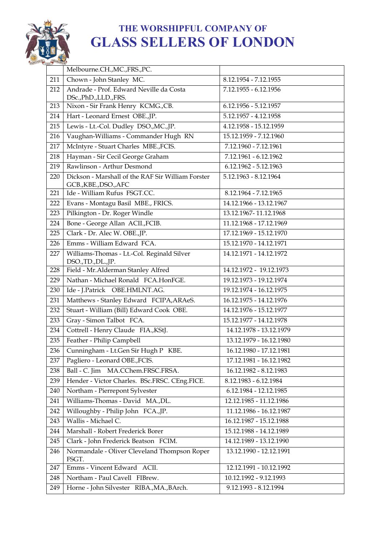

|     | Melbourne.CH., MC., FRS., PC.                                              |                         |
|-----|----------------------------------------------------------------------------|-------------------------|
| 211 | Chown - John Stanley MC.                                                   | 8.12.1954 - 7.12.1955   |
| 212 | Andrade - Prof. Edward Neville da Costa                                    | 7.12.1955 - 6.12.1956   |
|     | DSc., PhD., LLD., FRS.                                                     |                         |
| 213 | Nixon - Sir Frank Henry KCMG., CB.                                         | 6.12.1956 - 5.12.1957   |
| 214 | Hart - Leonard Ernest OBE., JP.                                            | 5.12.1957 - 4.12.1958   |
| 215 | Lewis - Lt.-Col. Dudley DSO., MC., JP.                                     | 4.12.1958 - 15.12.1959  |
| 216 | Vaughan-Williams - Commander Hugh RN                                       | 15.12.1959 - 7.12.1960  |
| 217 | McIntyre - Stuart Charles MBE., FCIS.                                      | 7.12.1960 - 7.12.1961   |
| 218 | Hayman - Sir Cecil George Graham                                           | 7.12.1961 - 6.12.1962   |
| 219 | Rawlinson - Arthur Desmond                                                 | 6.12.1962 - 5.12.1963   |
| 220 | Dickson - Marshall of the RAF Sir William Forster<br>GCB., KBE., DSO., AFC | 5.12.1963 - 8.12.1964   |
| 221 | Ide - William Rufus FSGT.CC.                                               | 8.12.1964 - 7.12.1965   |
| 222 | Evans - Montagu Basil MBE., FRICS.                                         | 14.12.1966 - 13.12.1967 |
| 223 | Pilkington - Dr. Roger Windle                                              | 13.12.1967-11.12.1968   |
| 224 | Bone - George Allan ACII., FCIB.                                           | 11.12.1968 - 17.12.1969 |
| 225 | Clark - Dr. Alec W. OBE.,JP.                                               | 17.12.1969 - 15.12.1970 |
| 226 | Emms - William Edward FCA.                                                 | 15.12.1970 - 14.12.1971 |
| 227 | Williams-Thomas - Lt.-Col. Reginald Silver<br>DSO.,TD.,DL.,JP.             | 14.12.1971 - 14.12.1972 |
| 228 | Field - Mr.Alderman Stanley Alfred                                         | 14.12.1972 - 19.12.1973 |
| 229 | Nathan - Michael Ronald FCA.HonFGE.                                        | 19.12.1973 - 19.12.1974 |
| 230 | Ide - J.Patrick OBE.HMLNT.AG.                                              | 19.12.1974 - 16.12.1975 |
| 231 | Matthews - Stanley Edward FCIPA, ARAeS.                                    | 16.12.1975 - 14.12.1976 |
| 232 | Stuart - William (Bill) Edward Cook OBE.                                   | 14.12.1976 - 15.12.1977 |
| 233 | Gray - Simon Talbot FCA.                                                   | 15.12.1977 - 14.12.1978 |
| 234 | Cottrell - Henry Claude FIA., KStJ.                                        | 14.12.1978 - 13.12.1979 |
| 235 | Feather - Philip Campbell                                                  | 13.12.1979 - 16.12.1980 |
| 236 | Cunningham - Lt.Gen Sir Hugh P KBE.                                        | 16.12.1980 - 17.12.1981 |
| 237 | Pagliero - Leonard OBE., FCIS.                                             | 17.12.1981 - 16.12.1982 |
| 238 | Ball - C. Jim MA.CChem.FRSC.FRSA.                                          | 16.12.1982 - 8.12.1983  |
| 239 | Hender - Victor Charles. BSc.FRSC. CEng.FICE.                              | 8.12.1983 - 6.12.1984   |
| 240 | Northam - Pierrepont Sylvester                                             | 6.12.1984 - 12.12.1985  |
| 241 | Williams-Thomas - David MA.,DL.                                            | 12.12.1985 - 11.12.1986 |
| 242 | Willoughby - Philip John FCA., JP.                                         | 11.12.1986 - 16.12.1987 |
| 243 | Wallis - Michael C.                                                        | 16.12.1987 - 15.12.1988 |
| 244 | Marshall - Robert Frederick Borer                                          | 15.12.1988 - 14.12.1989 |
| 245 | Clark - John Frederick Beatson FCIM.                                       | 14.12.1989 - 13.12.1990 |
| 246 | Normandale - Oliver Cleveland Thompson Roper<br>FSGT.                      | 13.12.1990 - 12.12.1991 |
| 247 | Emms - Vincent Edward ACII.                                                | 12.12.1991 - 10.12.1992 |
| 248 | Northam - Paul Cavell FIBrew.                                              | 10.12.1992 - 9.12.1993  |
| 249 | Horne - John Silvester RIBA., MA., BArch.                                  | 9.12.1993 - 8.12.1994   |